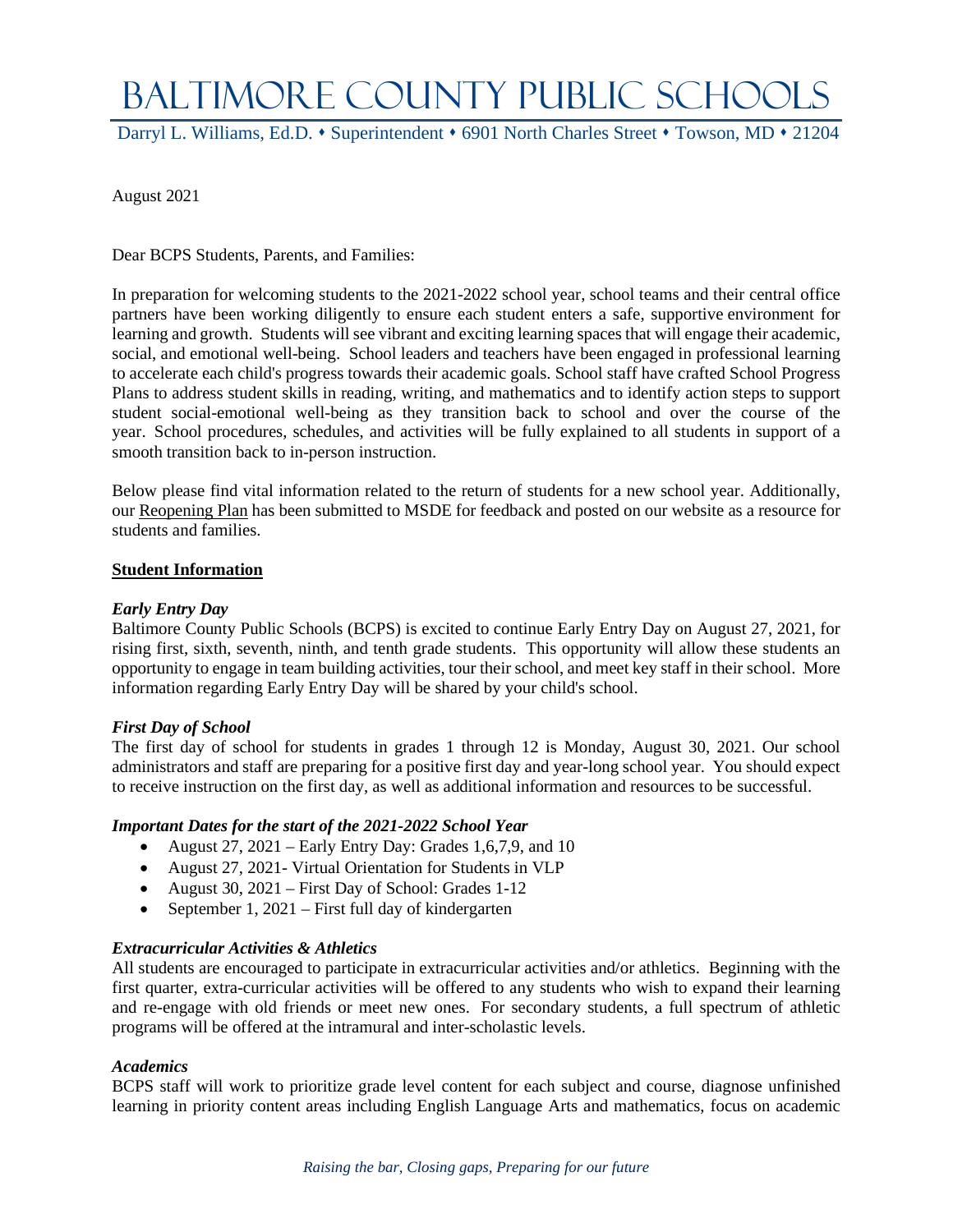# BALTIMORE COUNTY PUBLIC SCHOOLS

Darryl L. Williams, Ed.D. • Superintendent • 6901 North Charles Street • Towson, MD • 21204

August 2021

Dear BCPS Students, Parents, and Families:

In preparation for welcoming students to the 2021-2022 school year, school teams and their central office partners have been working diligently to ensure each student enters a safe, supportive environment for learning and growth. Students will see vibrant and exciting learning spaces that will engage their academic, social, and emotional well-being. School leaders and teachers have been engaged in professional learning to accelerate each child's progress towards their academic goals. School staff have crafted School Progress Plans to address student skills in reading, writing, and mathematics and to identify action steps to support student social-emotional well-being as they transition back to school and over the course of the year. School procedures, schedules, and activities will be fully explained to all students in support of a smooth transition back to in-person instruction.

Below please find vital information related to the return of students for a new school year. Additionally, our [Reopening Plan](https://www.bcps.org/UserFiles/Servers/Server_2744/File/Covid19/ReopeningPlan2021-22_Aug.pdf) has been submitted to MSDE for feedback and posted on our website as a resource for students and families.

# **Student Information**

#### *Early Entry Day*

Baltimore County Public Schools (BCPS) is excited to continue Early Entry Day on August 27, 2021, for rising first, sixth, seventh, ninth, and tenth grade students. This opportunity will allow these students an opportunity to engage in team building activities, tour their school, and meet key staff in their school. More information regarding Early Entry Day will be shared by your child's school.

# *First Day of School*

The first day of school for students in grades 1 through 12 is Monday, August 30, 2021. Our school administrators and staff are preparing for a positive first day and year-long school year. You should expect to receive instruction on the first day, as well as additional information and resources to be successful.

# *Important Dates for the start of the 2021-2022 School Year*

- August  $27$ ,  $2021$  Early Entry Day: Grades 1,6,7,9, and 10
- August 27, 2021 Virtual Orientation for Students in VLP
- August 30, 2021 First Day of School: Grades 1-12
- September 1, 2021 First full day of kindergarten

# *Extracurricular Activities & Athletics*

All students are encouraged to participate in extracurricular activities and/or athletics. Beginning with the first quarter, extra-curricular activities will be offered to any students who wish to expand their learning and re-engage with old friends or meet new ones. For secondary students, a full spectrum of athletic programs will be offered at the intramural and inter-scholastic levels.

#### *Academics*

BCPS staff will work to prioritize grade level content for each subject and course, diagnose unfinished learning in priority content areas including English Language Arts and mathematics, focus on academic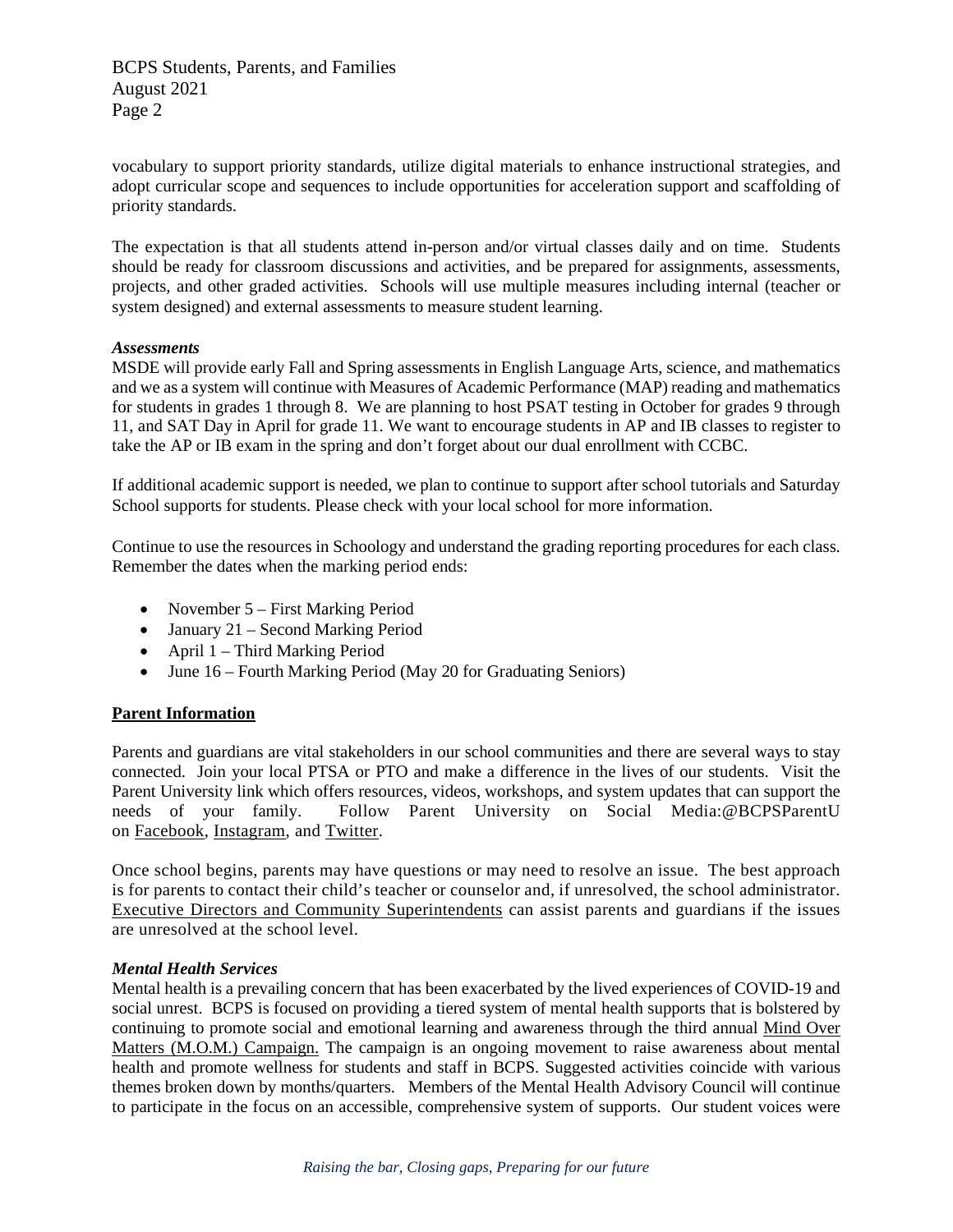BCPS Students, Parents, and Families August 2021 Page 2

vocabulary to support priority standards, utilize digital materials to enhance instructional strategies, and adopt curricular scope and sequences to include opportunities for acceleration support and scaffolding of priority standards.

The expectation is that all students attend in-person and/or virtual classes daily and on time. Students should be ready for classroom discussions and activities, and be prepared for assignments, assessments, projects, and other graded activities. Schools will use multiple measures including internal (teacher or system designed) and external assessments to measure student learning.

# *Assessments*

MSDE will provide early Fall and Spring assessments in English Language Arts, science, and mathematics and we as a system will continue with Measures of Academic Performance (MAP) reading and mathematics for students in grades 1 through 8. We are planning to host PSAT testing in October for grades 9 through 11, and SAT Day in April for grade 11. We want to encourage students in AP and IB classes to register to take the AP or IB exam in the spring and don't forget about our dual enrollment with CCBC.

If additional academic support is needed, we plan to continue to support after school tutorials and Saturday School supports for students. Please check with your local school for more information.

Continue to use the resources in Schoology and understand the grading reporting procedures for each class. Remember the dates when the marking period ends:

- November 5 First Marking Period
- January 21 Second Marking Period
- April 1 Third Marking Period
- June 16 Fourth Marking Period (May 20 for Graduating Seniors)

# **Parent Information**

Parents and guardians are vital stakeholders in our school communities and there are several ways to stay connected. Join your local PTSA or PTO and make a difference in the lives of our students. Visit the Parent University link which offers resources, videos, workshops, and system updates that can support the needs of your family. Follow Parent University on Social Media:@BCPSParentU on [Facebook,](https://www.facebook.com/BCPSParentU/) [Instagram,](https://www.instagram.com/bcpsparentu/) and [Twitter.](https://twitter.com/bcpsparentu)

Once school begins, parents may have questions or may need to resolve an issue. The best approach is for parents to contact their child's teacher or counselor and, if unresolved, the school administrator. [Executive Directors and Community Superintendents](https://bcps.ss3.sharpschool.com/UserFiles/Servers/Server_2744/File/System/Zone%20Charts%20and%20Contact%20Information%2021-22_v2.pdf) can assist parents and guardians if the issues are unresolved at the school level.

#### *Mental Health Services*

Mental health is a prevailing concern that has been exacerbated by the lived experiences of COVID-19 and social unrest. BCPS is focused on providing a tiered system of mental health supports that is bolstered by continuing to promote social and emotional learning and awareness through the third annual [Mind Over](https://scs.bcps.org/cms/One.aspx?portalId=31979921&pageId=66512100)  [Matters \(M.O.M.\) Campaign.](https://scs.bcps.org/cms/One.aspx?portalId=31979921&pageId=66512100) The campaign is an ongoing movement to raise awareness about mental health and promote wellness for students and staff in BCPS. Suggested activities coincide with various themes broken down by months/quarters. Members of the Mental Health Advisory Council will continue to participate in the focus on an accessible, comprehensive system of supports. Our student voices were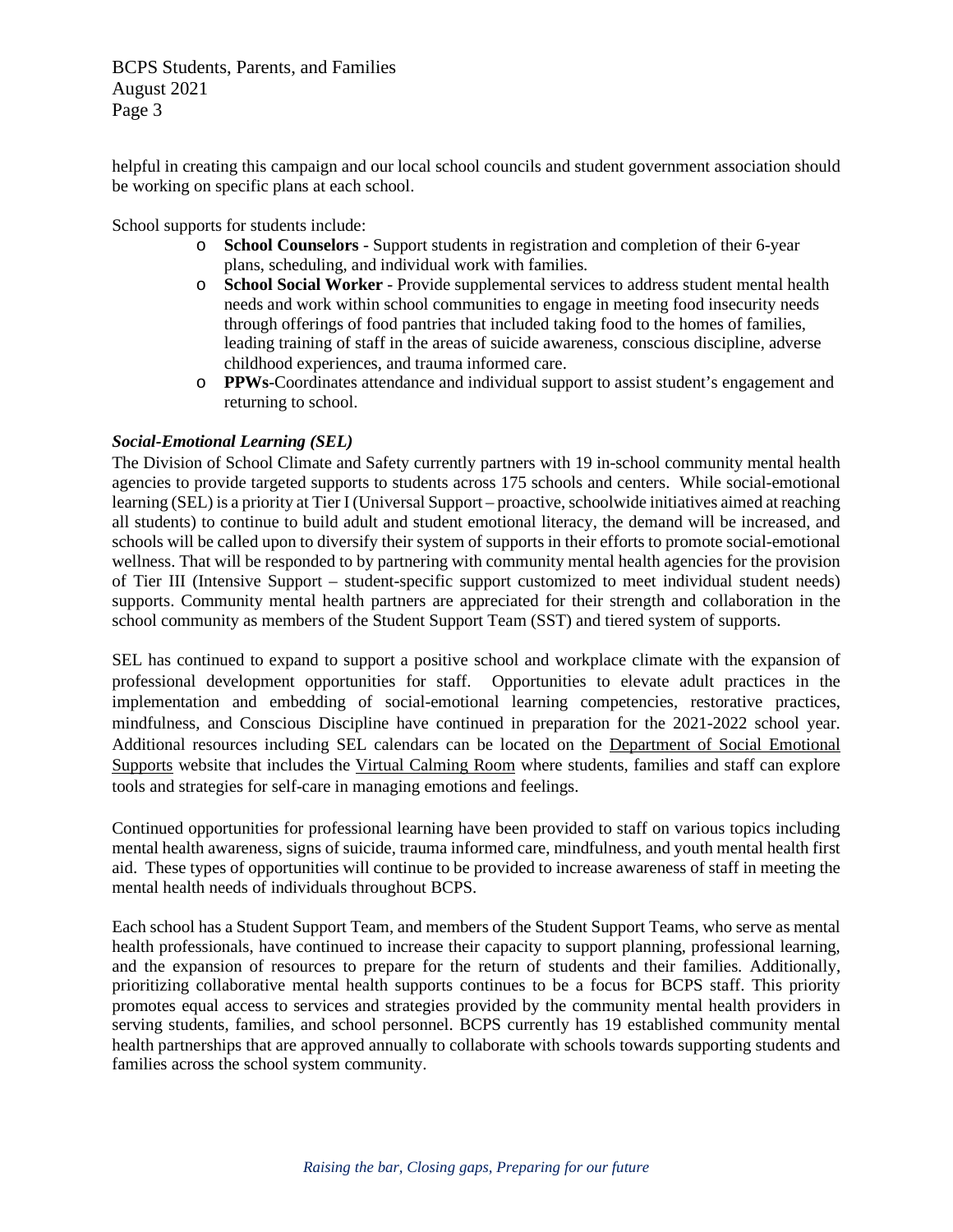BCPS Students, Parents, and Families August 2021 Page 3

helpful in creating this campaign and our local school councils and student government association should be working on specific plans at each school.

School supports for students include:

- o **School Counselors** Support students in registration and completion of their 6-year plans, scheduling, and individual work with families.
- o **School Social Worker** Provide supplemental services to address student mental health needs and work within school communities to engage in meeting food insecurity needs through offerings of food pantries that included taking food to the homes of families, leading training of staff in the areas of suicide awareness, conscious discipline, adverse childhood experiences, and trauma informed care.
- o **PPWs**-Coordinates attendance and individual support to assist student's engagement and returning to school.

#### *Social-Emotional Learning (SEL)*

The Division of School Climate and Safety currently partners with 19 in-school community mental health agencies to provide targeted supports to students across 175 schools and centers. While social-emotional learning (SEL) is a priority at Tier I (Universal Support – proactive, schoolwide initiatives aimed at reaching all students) to continue to build adult and student emotional literacy, the demand will be increased, and schools will be called upon to diversify their system of supports in their efforts to promote social-emotional wellness. That will be responded to by partnering with community mental health agencies for the provision of Tier III (Intensive Support – student-specific support customized to meet individual student needs) supports. Community mental health partners are appreciated for their strength and collaboration in the school community as members of the Student Support Team (SST) and tiered system of supports.

SEL has continued to expand to support a positive school and workplace climate with the expansion of professional development opportunities for staff. Opportunities to elevate adult practices in the implementation and embedding of social-emotional learning competencies, restorative practices, mindfulness, and Conscious Discipline have continued in preparation for the 2021-2022 school year. Additional resources including SEL calendars can be located on the [Department of Social Emotional](https://scs.bcps.org/departments/social_emotional_support)  [Supports](https://scs.bcps.org/departments/social_emotional_support) website that includes the [Virtual Calming Room](https://scs.bcps.org/departments/social_emotional_support/office_of_school_climate/school_social_work_responsive_student_programming/mental_health_services/virtual_calming_room) where students, families and staff can explore tools and strategies for self-care in managing emotions and feelings.

Continued opportunities for professional learning have been provided to staff on various topics including mental health awareness, signs of suicide, trauma informed care, mindfulness, and youth mental health first aid. These types of opportunities will continue to be provided to increase awareness of staff in meeting the mental health needs of individuals throughout BCPS.

Each school has a Student Support Team, and members of the Student Support Teams, who serve as mental health professionals, have continued to increase their capacity to support planning, professional learning, and the expansion of resources to prepare for the return of students and their families. Additionally, prioritizing collaborative mental health supports continues to be a focus for BCPS staff. This priority promotes equal access to services and strategies provided by the community mental health providers in serving students, families, and school personnel. BCPS currently has 19 established community mental health partnerships that are approved annually to collaborate with schools towards supporting students and families across the school system community.